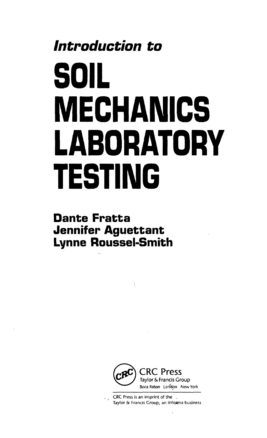## **Introduction to SOIL MECHANICS LABORATORY TESTING**

## **Dante Fratta Jennifer Aguettant Lynne Roussel-Smith**



CRC Press is an imprint of the '.  $\mathbf{e}^{\mathrm{H}}$  and Taylor & Francis Group, an informa business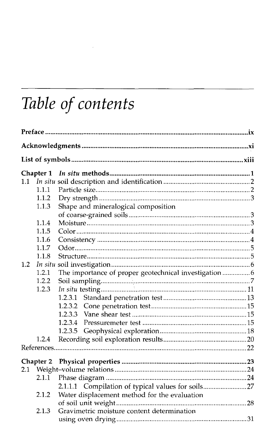## *Table of contents*

 $\mathcal{L}^{\text{max}}_{\text{max}}$  , where  $\mathcal{L}^{\text{max}}_{\text{max}}$ 

|     | Chapter 1 |                                                       |  |  |  |  |  |  |  |
|-----|-----------|-------------------------------------------------------|--|--|--|--|--|--|--|
| 1.1 |           |                                                       |  |  |  |  |  |  |  |
|     | 1.1.1     |                                                       |  |  |  |  |  |  |  |
|     | 1.1.2     |                                                       |  |  |  |  |  |  |  |
|     | 1.1.3     | Shape and mineralogical composition                   |  |  |  |  |  |  |  |
|     |           |                                                       |  |  |  |  |  |  |  |
|     | 1.1.4     |                                                       |  |  |  |  |  |  |  |
|     | 1.1.5     |                                                       |  |  |  |  |  |  |  |
|     | 1.1.6     |                                                       |  |  |  |  |  |  |  |
|     | 1.1.7     |                                                       |  |  |  |  |  |  |  |
|     | 1.1.8     |                                                       |  |  |  |  |  |  |  |
| 1.2 |           |                                                       |  |  |  |  |  |  |  |
|     | 1.2.1     | The importance of proper geotechnical investigation 6 |  |  |  |  |  |  |  |
|     | 1.2.2     |                                                       |  |  |  |  |  |  |  |
|     | 1.2.3     |                                                       |  |  |  |  |  |  |  |
|     |           | 1.2.3.1                                               |  |  |  |  |  |  |  |
|     |           | 1.2.3.2                                               |  |  |  |  |  |  |  |
|     |           | 1.2.3.3                                               |  |  |  |  |  |  |  |
|     |           | 1.2.3.4                                               |  |  |  |  |  |  |  |
|     |           | 1.2.3.5                                               |  |  |  |  |  |  |  |
|     | 1.2.4     |                                                       |  |  |  |  |  |  |  |
|     |           |                                                       |  |  |  |  |  |  |  |
|     | Chapter 2 |                                                       |  |  |  |  |  |  |  |
| 2.1 |           |                                                       |  |  |  |  |  |  |  |
|     | 2.1.1     |                                                       |  |  |  |  |  |  |  |
|     |           | 2.1.1.1 Compilation of typical values for soils27     |  |  |  |  |  |  |  |
|     | 2.1.2     | Water displacement method for the evaluation          |  |  |  |  |  |  |  |
|     |           |                                                       |  |  |  |  |  |  |  |
|     | 2.1.3     | Gravimetric moisture content determination            |  |  |  |  |  |  |  |
|     |           |                                                       |  |  |  |  |  |  |  |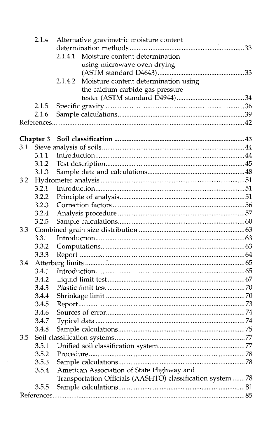|     | 2.1.4     | Alternative gravimetric moisture content                   |  |
|-----|-----------|------------------------------------------------------------|--|
|     |           |                                                            |  |
|     |           | Moisture content determination<br>2.1.4.1                  |  |
|     |           | using microwave oven drying                                |  |
|     |           |                                                            |  |
|     |           | Moisture content determination using<br>2.1.4.2            |  |
|     |           | the calcium carbide gas pressure                           |  |
|     |           |                                                            |  |
|     | 2.1.5     |                                                            |  |
|     | 2.1.6     |                                                            |  |
|     |           |                                                            |  |
|     | Chapter 3 |                                                            |  |
| 3.1 |           |                                                            |  |
|     | 3.1.1     |                                                            |  |
|     | 3.1.2     |                                                            |  |
|     | 3.1.3     |                                                            |  |
| 3.2 |           |                                                            |  |
|     | 3.2.1     |                                                            |  |
|     | 3.2.2     |                                                            |  |
|     | 3.2.3     |                                                            |  |
|     | 3.2.4     |                                                            |  |
|     | 3.2.5     |                                                            |  |
| 3.3 |           |                                                            |  |
|     | 3.3.1     |                                                            |  |
|     | 3.3.2     |                                                            |  |
|     |           |                                                            |  |
| 3.4 |           |                                                            |  |
|     | 3.4.1     |                                                            |  |
|     | 3.4.2     |                                                            |  |
|     | 3.4.3     |                                                            |  |
|     | 3.4.4     |                                                            |  |
|     | 3.4.5     |                                                            |  |
|     | 3.4.6     |                                                            |  |
|     | 3.4.7     |                                                            |  |
|     | 3.4.8     |                                                            |  |
| 3.5 |           |                                                            |  |
|     | 3.5.1     |                                                            |  |
|     | 3.5.2     |                                                            |  |
|     | 3.5.3     |                                                            |  |
|     | 3.5.4     | American Association of State Highway and                  |  |
|     |           | Transportation Officials (AASHTO) classification system 78 |  |
|     | 3.5.5     |                                                            |  |
|     |           |                                                            |  |

 $\mathcal{F}^{\pm}$ 

 $\frac{1}{2}$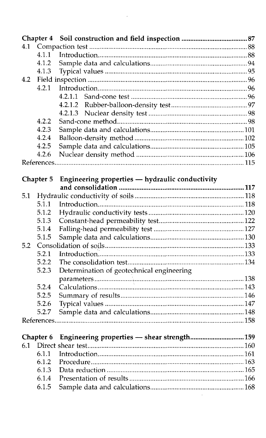|     | Chapter 4 |                                                 |  |
|-----|-----------|-------------------------------------------------|--|
| 4.1 |           |                                                 |  |
|     | 4.1.1     |                                                 |  |
|     | 4.1.2     |                                                 |  |
|     | 4.1.3     |                                                 |  |
| 4.2 |           |                                                 |  |
|     | 4.2.1     |                                                 |  |
|     |           | 4.2.1.1                                         |  |
|     |           | 4.2.1.2                                         |  |
|     |           | 4.2.1.3                                         |  |
|     | 4.2.2     |                                                 |  |
|     | 4.2.3     |                                                 |  |
|     | 4.2.4     |                                                 |  |
|     |           |                                                 |  |
|     | 4.2.5     |                                                 |  |
|     | 4.2.6     |                                                 |  |
|     |           |                                                 |  |
|     | Chapter 5 |                                                 |  |
|     |           | Engineering properties - hydraulic conductivity |  |
| 5.1 |           |                                                 |  |
|     |           |                                                 |  |
|     | 5.1.1     |                                                 |  |
|     | 5.1.2     |                                                 |  |
|     | 5.1.3     |                                                 |  |
|     | 5.1.4     |                                                 |  |
|     | 5.1.5     |                                                 |  |
| 5.2 |           |                                                 |  |
|     | 5.2.1     |                                                 |  |
|     | 5.2.2     |                                                 |  |
|     | 5.2.3     | Determination of geotechnical engineering       |  |
|     |           |                                                 |  |
|     | 5.2.4     |                                                 |  |
|     | 5.2.5     |                                                 |  |
|     | 5.2.6     |                                                 |  |
|     | 5.2.7     |                                                 |  |
|     |           |                                                 |  |
|     |           |                                                 |  |
|     | Chapter 6 | Engineering properties - shear strength 159     |  |
| 6.1 |           |                                                 |  |
|     | 6.1.1     |                                                 |  |
|     | 6.1.2     |                                                 |  |
|     | 6.1.3     |                                                 |  |
|     | 6.1.4     |                                                 |  |
|     | 6.1.5     |                                                 |  |
|     |           | $\sim$                                          |  |

 $\mathcal{L}^{\text{max}}_{\text{max}}$